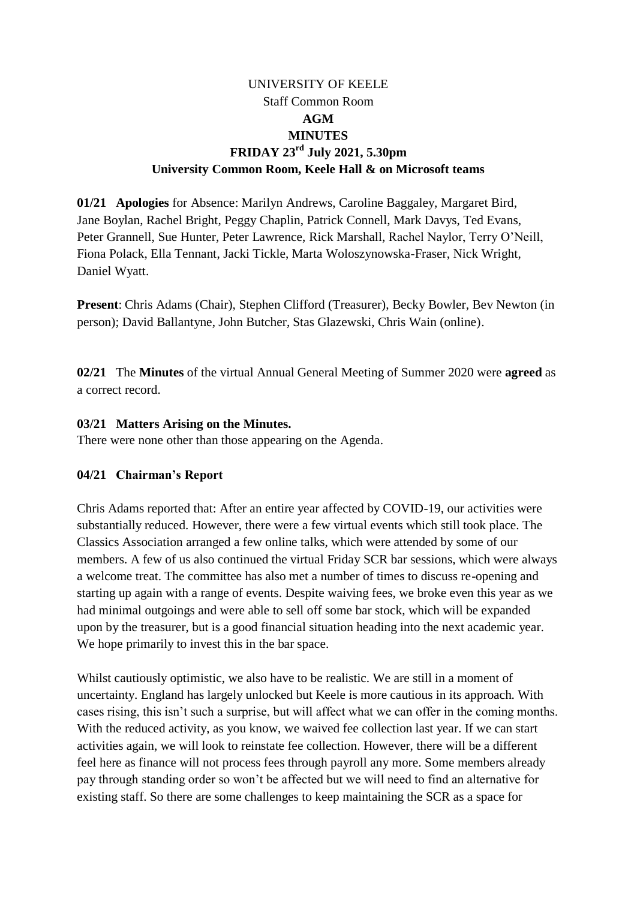# UNIVERSITY OF KEELE Staff Common Room **AGM MINUTES FRIDAY 23 rd July 2021, 5.30pm University Common Room, Keele Hall & on Microsoft teams**

**01/21 Apologies** for Absence: Marilyn Andrews, Caroline Baggaley, Margaret Bird, Jane Boylan, Rachel Bright, Peggy Chaplin, Patrick Connell, Mark Davys, Ted Evans, Peter Grannell, Sue Hunter, Peter Lawrence, Rick Marshall, Rachel Naylor, Terry O'Neill, Fiona Polack, Ella Tennant, Jacki Tickle, Marta Woloszynowska-Fraser, Nick Wright, Daniel Wyatt.

**Present**: Chris Adams (Chair), Stephen Clifford (Treasurer), Becky Bowler, Bev Newton (in person); David Ballantyne, John Butcher, Stas Glazewski, Chris Wain (online).

**02/21** The **Minutes** of the virtual Annual General Meeting of Summer 2020 were **agreed** as a correct record.

### **03/21 Matters Arising on the Minutes.**

There were none other than those appearing on the Agenda.

#### **04/21 Chairman's Report**

Chris Adams reported that: After an entire year affected by COVID-19, our activities were substantially reduced. However, there were a few virtual events which still took place. The Classics Association arranged a few online talks, which were attended by some of our members. A few of us also continued the virtual Friday SCR bar sessions, which were always a welcome treat. The committee has also met a number of times to discuss re-opening and starting up again with a range of events. Despite waiving fees, we broke even this year as we had minimal outgoings and were able to sell off some bar stock, which will be expanded upon by the treasurer, but is a good financial situation heading into the next academic year. We hope primarily to invest this in the bar space.

Whilst cautiously optimistic, we also have to be realistic. We are still in a moment of uncertainty. England has largely unlocked but Keele is more cautious in its approach. With cases rising, this isn't such a surprise, but will affect what we can offer in the coming months. With the reduced activity, as you know, we waived fee collection last year. If we can start activities again, we will look to reinstate fee collection. However, there will be a different feel here as finance will not process fees through payroll any more. Some members already pay through standing order so won't be affected but we will need to find an alternative for existing staff. So there are some challenges to keep maintaining the SCR as a space for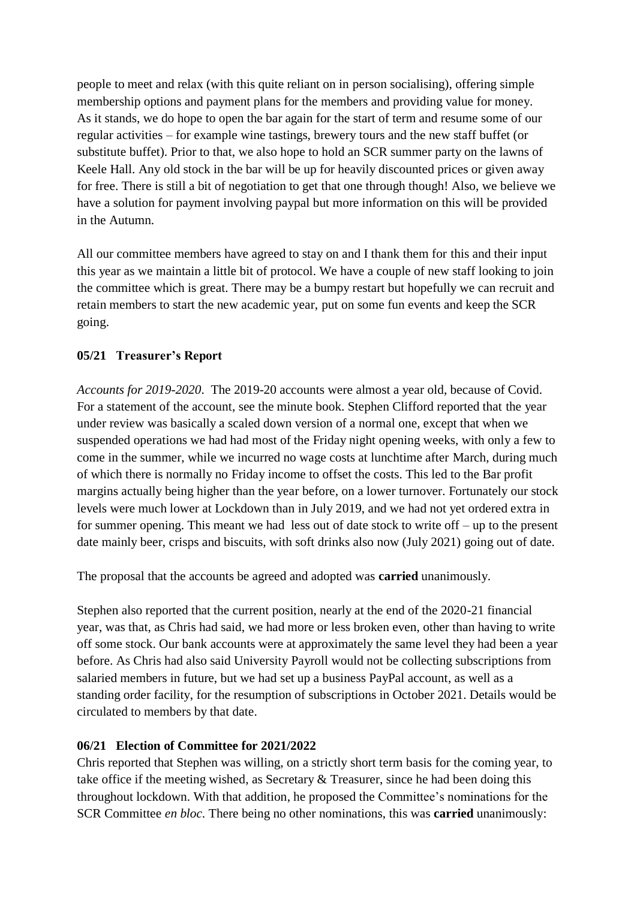people to meet and relax (with this quite reliant on in person socialising), offering simple membership options and payment plans for the members and providing value for money. As it stands, we do hope to open the bar again for the start of term and resume some of our regular activities – for example wine tastings, brewery tours and the new staff buffet (or substitute buffet). Prior to that, we also hope to hold an SCR summer party on the lawns of Keele Hall. Any old stock in the bar will be up for heavily discounted prices or given away for free. There is still a bit of negotiation to get that one through though! Also, we believe we have a solution for payment involving paypal but more information on this will be provided in the Autumn.

All our committee members have agreed to stay on and I thank them for this and their input this year as we maintain a little bit of protocol. We have a couple of new staff looking to join the committee which is great. There may be a bumpy restart but hopefully we can recruit and retain members to start the new academic year, put on some fun events and keep the SCR going.

### **05/21 Treasurer's Report**

*Accounts for 2019-2020*. The 2019-20 accounts were almost a year old, because of Covid. For a statement of the account, see the minute book. Stephen Clifford reported that the year under review was basically a scaled down version of a normal one, except that when we suspended operations we had had most of the Friday night opening weeks, with only a few to come in the summer, while we incurred no wage costs at lunchtime after March, during much of which there is normally no Friday income to offset the costs. This led to the Bar profit margins actually being higher than the year before, on a lower turnover. Fortunately our stock levels were much lower at Lockdown than in July 2019, and we had not yet ordered extra in for summer opening. This meant we had less out of date stock to write off – up to the present date mainly beer, crisps and biscuits, with soft drinks also now (July 2021) going out of date.

The proposal that the accounts be agreed and adopted was **carried** unanimously.

Stephen also reported that the current position, nearly at the end of the 2020-21 financial year, was that, as Chris had said, we had more or less broken even, other than having to write off some stock. Our bank accounts were at approximately the same level they had been a year before. As Chris had also said University Payroll would not be collecting subscriptions from salaried members in future, but we had set up a business PayPal account, as well as a standing order facility, for the resumption of subscriptions in October 2021. Details would be circulated to members by that date.

#### **06/21 Election of Committee for 2021/2022**

Chris reported that Stephen was willing, on a strictly short term basis for the coming year, to take office if the meeting wished, as Secretary & Treasurer, since he had been doing this throughout lockdown. With that addition, he proposed the Committee's nominations for the SCR Committee *en bloc.* There being no other nominations, this was **carried** unanimously: